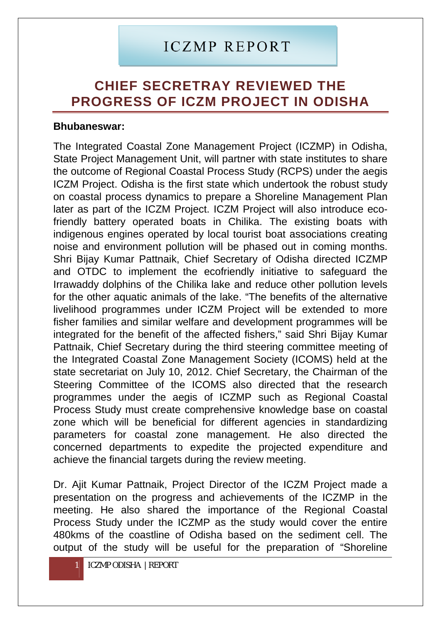## I CZMP REPORT

## **CHIEF SECRETRAY REVIEWED THE PROGRESS OF ICZM PROJECT IN ODISHA**

## **Bhubaneswar:**

The Integrated Coastal Zone Management Project (ICZMP) in Odisha, State Project Management Unit, will partner with state institutes to share the outcome of Regional Coastal Process Study (RCPS) under the aegis ICZM Project. Odisha is the first state which undertook the robust study on coastal process dynamics to prepare a Shoreline Management Plan later as part of the ICZM Project. ICZM Project will also introduce ecofriendly battery operated boats in Chilika. The existing boats with indigenous engines operated by local tourist boat associations creating noise and environment pollution will be phased out in coming months. Shri Bijay Kumar Pattnaik, Chief Secretary of Odisha directed ICZMP and OTDC to implement the ecofriendly initiative to safeguard the Irrawaddy dolphins of the Chilika lake and reduce other pollution levels for the other aquatic animals of the lake. "The benefits of the alternative livelihood programmes under ICZM Project will be extended to more fisher families and similar welfare and development programmes will be integrated for the benefit of the affected fishers," said Shri Bijay Kumar Pattnaik, Chief Secretary during the third steering committee meeting of the Integrated Coastal Zone Management Society (ICOMS) held at the state secretariat on July 10, 2012. Chief Secretary, the Chairman of the Steering Committee of the ICOMS also directed that the research programmes under the aegis of ICZMP such as Regional Coastal Process Study must create comprehensive knowledge base on coastal zone which will be beneficial for different agencies in standardizing parameters for coastal zone management. He also directed the concerned departments to expedite the projected expenditure and achieve the financial targets during the review meeting.

Dr. Ajit Kumar Pattnaik, Project Director of the ICZM Project made a presentation on the progress and achievements of the ICZMP in the meeting. He also shared the importance of the Regional Coastal Process Study under the ICZMP as the study would cover the entire 480kms of the coastline of Odisha based on the sediment cell. The output of the study will be useful for the preparation of "Shoreline